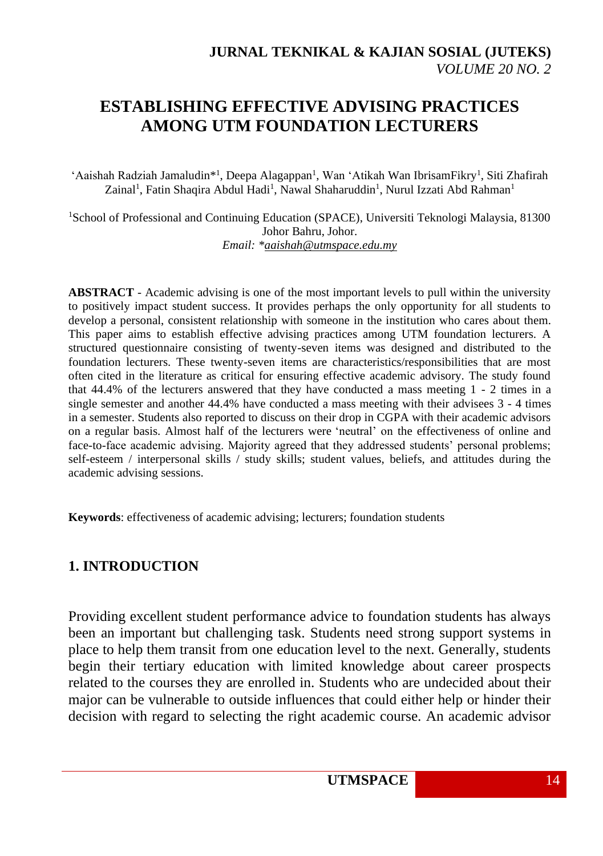# **ESTABLISHING EFFECTIVE ADVISING PRACTICES AMONG UTM FOUNDATION LECTURERS**

'Aaishah Radziah Jamaludin<sup>\*1</sup>, Deepa Alagappan<sup>1</sup>, Wan 'Atikah Wan IbrisamFikry<sup>1</sup>, Siti Zhafirah Zainal<sup>1</sup>, Fatin Shaqira Abdul Hadi<sup>1</sup>, Nawal Shaharuddin<sup>1</sup>, Nurul Izzati Abd Rahman<sup>1</sup>

<sup>1</sup>School of Professional and Continuing Education (SPACE), Universiti Teknologi Malaysia, 81300 Johor Bahru, Johor. *Email: [\\*aaishah@utmspace.edu.my](mailto:aaishah@utmspace.edu.my)*

**ABSTRACT** - Academic advising is one of the most important levels to pull within the university to positively impact student success. It provides perhaps the only opportunity for all students to develop a personal, consistent relationship with someone in the institution who cares about them. This paper aims to establish effective advising practices among UTM foundation lecturers. A structured questionnaire consisting of twenty-seven items was designed and distributed to the foundation lecturers. These twenty-seven items are characteristics/responsibilities that are most often cited in the literature as critical for ensuring effective academic advisory. The study found that 44.4% of the lecturers answered that they have conducted a mass meeting 1 - 2 times in a single semester and another 44.4% have conducted a mass meeting with their advisees 3 - 4 times in a semester. Students also reported to discuss on their drop in CGPA with their academic advisors on a regular basis. Almost half of the lecturers were 'neutral' on the effectiveness of online and face-to-face academic advising. Majority agreed that they addressed students' personal problems; self-esteem / interpersonal skills / study skills; student values, beliefs, and attitudes during the academic advising sessions.

**Keywords**: effectiveness of academic advising; lecturers; foundation students

### **1. INTRODUCTION**

Providing excellent student performance advice to foundation students has always been an important but challenging task. Students need strong support systems in place to help them transit from one education level to the next. Generally, students begin their tertiary education with limited knowledge about career prospects related to the courses they are enrolled in. Students who are undecided about their major can be vulnerable to outside influences that could either help or hinder their decision with regard to selecting the right academic course. An academic advisor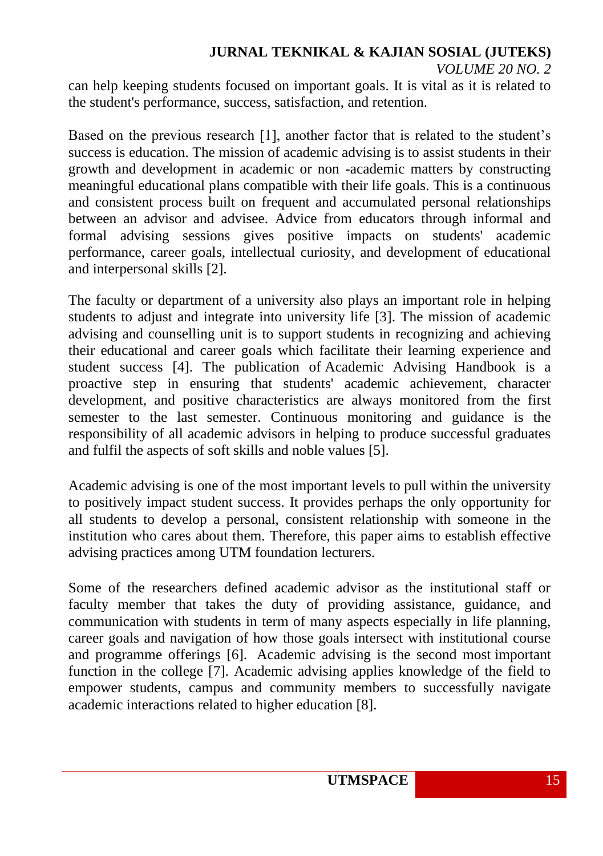can help keeping students focused on important goals. It is vital as it is related to the student's performance, success, satisfaction, and retention.

Based on the previous research [1], another factor that is related to the student's success is education. The mission of academic advising is to assist students in their growth and development in academic or non -academic matters by constructing meaningful educational plans compatible with their life goals. This is a continuous and consistent process built on frequent and accumulated personal relationships between an advisor and advisee. Advice from educators through informal and formal advising sessions gives positive impacts on students' academic performance, career goals, intellectual curiosity, and development of educational and interpersonal skills [2].

The faculty or department of a university also plays an important role in helping students to adjust and integrate into university life [3]. The mission of academic advising and counselling unit is to support students in recognizing and achieving their educational and career goals which facilitate their learning experience and student success [4]. The publication of Academic Advising Handbook is a proactive step in ensuring that students' academic achievement, character development, and positive characteristics are always monitored from the first semester to the last semester. Continuous monitoring and guidance is the responsibility of all academic advisors in helping to produce successful graduates and fulfil the aspects of soft skills and noble values [5].

Academic advising is one of the most important levels to pull within the university to positively impact student success. It provides perhaps the only opportunity for all students to develop a personal, consistent relationship with someone in the institution who cares about them. Therefore, this paper aims to establish effective advising practices among UTM foundation lecturers.

Some of the researchers defined academic advisor as the institutional staff or faculty member that takes the duty of providing assistance, guidance, and communication with students in term of many aspects especially in life planning, career goals and navigation of how those goals intersect with institutional course and programme offerings [6]. Academic advising is the second most important function in the college [7]. Academic advising applies knowledge of the field to empower students, campus and community members to successfully navigate academic interactions related to higher education [8].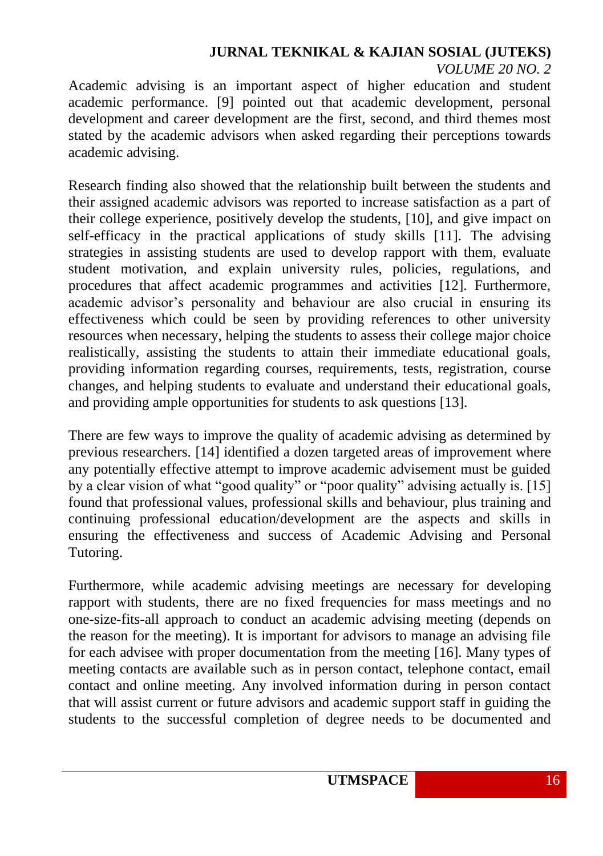Academic advising is an important aspect of higher education and student academic performance. [9] pointed out that academic development, personal development and career development are the first, second, and third themes most stated by the academic advisors when asked regarding their perceptions towards academic advising.

Research finding also showed that the relationship built between the students and their assigned academic advisors was reported to increase satisfaction as a part of their college experience, positively develop the students, [10], and give impact on self-efficacy in the practical applications of study skills [11]. The advising strategies in assisting students are used to develop rapport with them, evaluate student motivation, and explain university rules, policies, regulations, and procedures that affect academic programmes and activities [12]. Furthermore, academic advisor's personality and behaviour are also crucial in ensuring its effectiveness which could be seen by providing references to other university resources when necessary, helping the students to assess their college major choice realistically, assisting the students to attain their immediate educational goals, providing information regarding courses, requirements, tests, registration, course changes, and helping students to evaluate and understand their educational goals, and providing ample opportunities for students to ask questions [13].

There are few ways to improve the quality of academic advising as determined by previous researchers. [14] identified a dozen targeted areas of improvement where any potentially effective attempt to improve academic advisement must be guided by a clear vision of what "good quality" or "poor quality" advising actually is. [15] found that professional values, professional skills and behaviour, plus training and continuing professional education/development are the aspects and skills in ensuring the effectiveness and success of Academic Advising and Personal Tutoring.

Furthermore, while academic advising meetings are necessary for developing rapport with students, there are no fixed frequencies for mass meetings and no one-size-fits-all approach to conduct an academic advising meeting (depends on the reason for the meeting). It is important for advisors to manage an advising file for each advisee with proper documentation from the meeting [16]. Many types of meeting contacts are available such as in person contact, telephone contact, email contact and online meeting. Any involved information during in person contact that will assist current or future advisors and academic support staff in guiding the students to the successful completion of degree needs to be documented and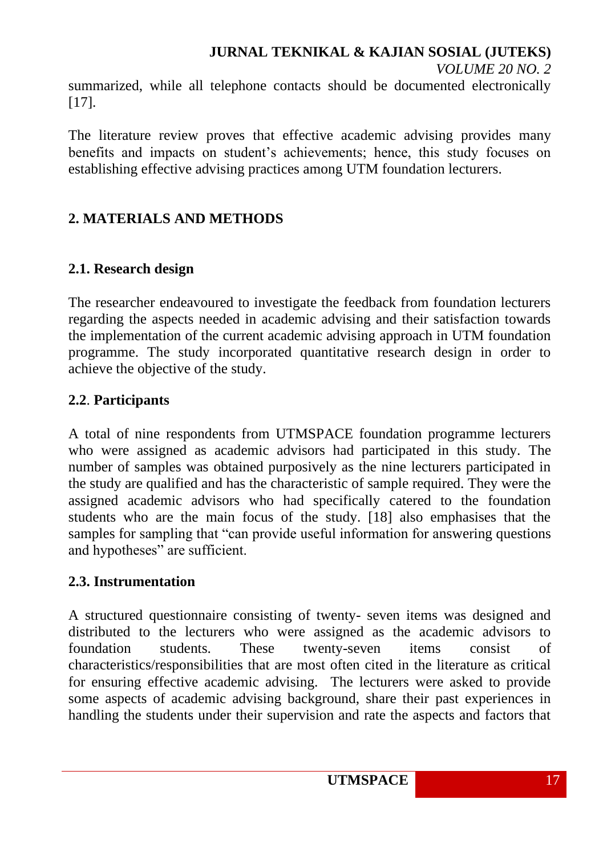summarized, while all telephone contacts should be documented electronically [17].

The literature review proves that effective academic advising provides many benefits and impacts on student's achievements; hence, this study focuses on establishing effective advising practices among UTM foundation lecturers.

# **2. MATERIALS AND METHODS**

## **2.1. Research design**

The researcher endeavoured to investigate the feedback from foundation lecturers regarding the aspects needed in academic advising and their satisfaction towards the implementation of the current academic advising approach in UTM foundation programme. The study incorporated quantitative research design in order to achieve the objective of the study.

## **2.2**. **Participants**

A total of nine respondents from UTMSPACE foundation programme lecturers who were assigned as academic advisors had participated in this study. The number of samples was obtained purposively as the nine lecturers participated in the study are qualified and has the characteristic of sample required. They were the assigned academic advisors who had specifically catered to the foundation students who are the main focus of the study. [18] also emphasises that the samples for sampling that "can provide useful information for answering questions and hypotheses" are sufficient.

### **2.3. Instrumentation**

A structured questionnaire consisting of twenty- seven items was designed and distributed to the lecturers who were assigned as the academic advisors to foundation students. These twenty-seven items consist of characteristics/responsibilities that are most often cited in the literature as critical for ensuring effective academic advising. The lecturers were asked to provide some aspects of academic advising background, share their past experiences in handling the students under their supervision and rate the aspects and factors that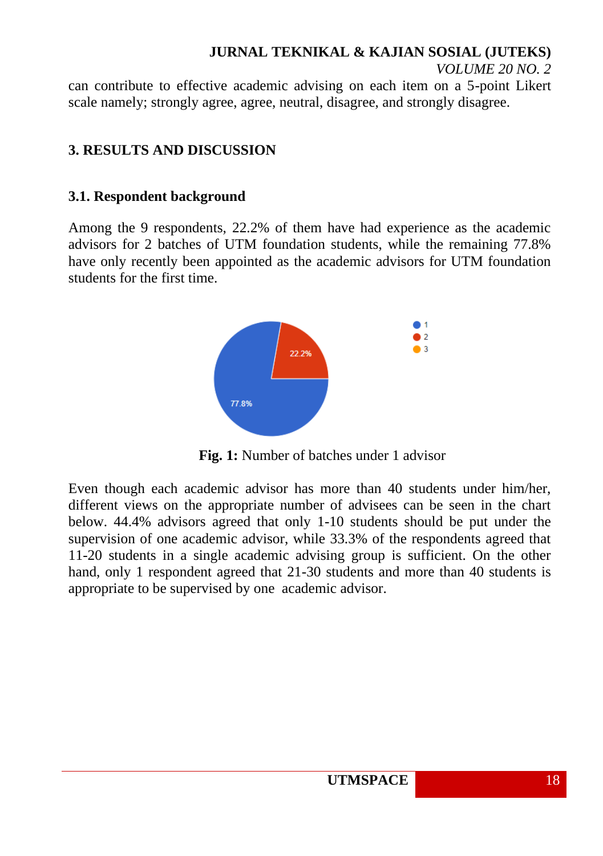can contribute to effective academic advising on each item on a 5-point Likert scale namely; strongly agree, agree, neutral, disagree, and strongly disagree.

### **3. RESULTS AND DISCUSSION**

### **3.1. Respondent background**

Among the 9 respondents, 22.2% of them have had experience as the academic advisors for 2 batches of UTM foundation students, while the remaining 77.8% have only recently been appointed as the academic advisors for UTM foundation students for the first time.



**Fig. 1:** Number of batches under 1 advisor

Even though each academic advisor has more than 40 students under him/her, different views on the appropriate number of advisees can be seen in the chart below. 44.4% advisors agreed that only 1-10 students should be put under the supervision of one academic advisor, while 33.3% of the respondents agreed that 11-20 students in a single academic advising group is sufficient. On the other hand, only 1 respondent agreed that 21-30 students and more than 40 students is appropriate to be supervised by one academic advisor.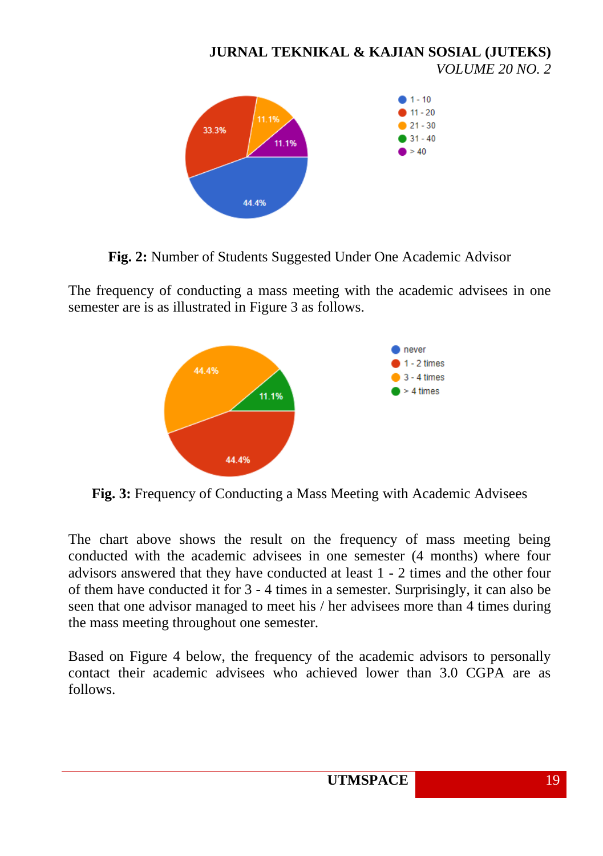**JURNAL TEKNIKAL & KAJIAN SOSIAL (JUTEKS)** *VOLUME 20 NO. 2*  $1 - 10$  $11 - 20$ 11.1%  $21 - 30$ 33.3%  $31 - 40$ 11.1%  $>40$ 

**Fig. 2:** Number of Students Suggested Under One Academic Advisor

44.4%

The frequency of conducting a mass meeting with the academic advisees in one semester are is as illustrated in Figure 3 as follows.



**Fig. 3:** Frequency of Conducting a Mass Meeting with Academic Advisees

The chart above shows the result on the frequency of mass meeting being conducted with the academic advisees in one semester (4 months) where four advisors answered that they have conducted at least 1 - 2 times and the other four of them have conducted it for 3 - 4 times in a semester. Surprisingly, it can also be seen that one advisor managed to meet his / her advisees more than 4 times during the mass meeting throughout one semester.

Based on Figure 4 below, the frequency of the academic advisors to personally contact their academic advisees who achieved lower than 3.0 CGPA are as follows.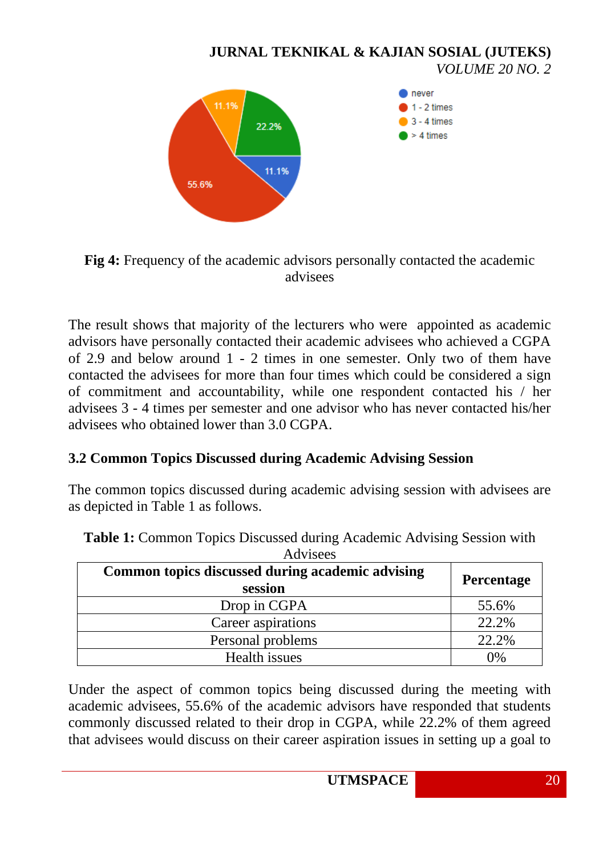

**Fig 4:** Frequency of the academic advisors personally contacted the academic advisees

The result shows that majority of the lecturers who were appointed as academic advisors have personally contacted their academic advisees who achieved a CGPA of 2.9 and below around 1 - 2 times in one semester. Only two of them have contacted the advisees for more than four times which could be considered a sign of commitment and accountability, while one respondent contacted his / her advisees 3 - 4 times per semester and one advisor who has never contacted his/her advisees who obtained lower than 3.0 CGPA.

### **3.2 Common Topics Discussed during Academic Advising Session**

The common topics discussed during academic advising session with advisees are as depicted in Table 1 as follows.

| Auvisces                                                    |                   |  |  |  |
|-------------------------------------------------------------|-------------------|--|--|--|
| Common topics discussed during academic advising<br>session | <b>Percentage</b> |  |  |  |
| Drop in CGPA                                                | 55.6%             |  |  |  |
| Career aspirations                                          | 22.2%             |  |  |  |
| Personal problems                                           | 22.2%             |  |  |  |
| Health issues                                               | 0%                |  |  |  |

**Table 1:** Common Topics Discussed during Academic Advising Session with Advisees

Under the aspect of common topics being discussed during the meeting with academic advisees, 55.6% of the academic advisors have responded that students commonly discussed related to their drop in CGPA, while 22.2% of them agreed that advisees would discuss on their career aspiration issues in setting up a goal to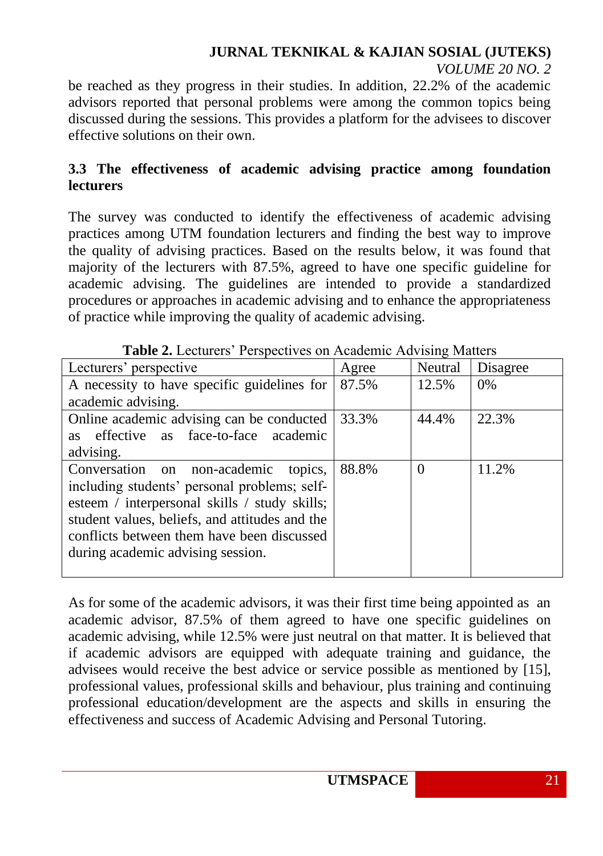# **JURNAL TEKNIKAL & KAJIAN SOSIAL (JUTEKS)**

*VOLUME 20 NO. 2*

be reached as they progress in their studies. In addition, 22.2% of the academic advisors reported that personal problems were among the common topics being discussed during the sessions. This provides a platform for the advisees to discover effective solutions on their own.

## **3.3 The effectiveness of academic advising practice among foundation lecturers**

The survey was conducted to identify the effectiveness of academic advising practices among UTM foundation lecturers and finding the best way to improve the quality of advising practices. Based on the results below, it was found that majority of the lecturers with 87.5%, agreed to have one specific guideline for academic advising. The guidelines are intended to provide a standardized procedures or approaches in academic advising and to enhance the appropriateness of practice while improving the quality of academic advising.

| <b>Table 2.</b> Ecclared Tempeth its on Treadentle Terribility intallers |       |          |          |  |  |
|--------------------------------------------------------------------------|-------|----------|----------|--|--|
| Lecturers' perspective                                                   | Agree | Neutral  | Disagree |  |  |
| A necessity to have specific guidelines for                              | 87.5% | 12.5%    | 0%       |  |  |
| academic advising.                                                       |       |          |          |  |  |
| Online academic advising can be conducted                                | 33.3% | 44.4%    | 22.3%    |  |  |
| as face-to-face academic<br>as effective                                 |       |          |          |  |  |
| advising.                                                                |       |          |          |  |  |
| Conversation on non-academic<br>topics,                                  | 88.8% | $\Omega$ | 11.2%    |  |  |
| including students' personal problems; self-                             |       |          |          |  |  |
| esteem / interpersonal skills / study skills;                            |       |          |          |  |  |
| student values, beliefs, and attitudes and the                           |       |          |          |  |  |
| conflicts between them have been discussed                               |       |          |          |  |  |
| during academic advising session.                                        |       |          |          |  |  |
|                                                                          |       |          |          |  |  |

**Table 2.** Lecturers' Perspectives on Academic Advising Matters

As for some of the academic advisors, it was their first time being appointed as an academic advisor, 87.5% of them agreed to have one specific guidelines on academic advising, while 12.5% were just neutral on that matter. It is believed that if academic advisors are equipped with adequate training and guidance, the advisees would receive the best advice or service possible as mentioned by [15], professional values, professional skills and behaviour, plus training and continuing professional education/development are the aspects and skills in ensuring the effectiveness and success of Academic Advising and Personal Tutoring.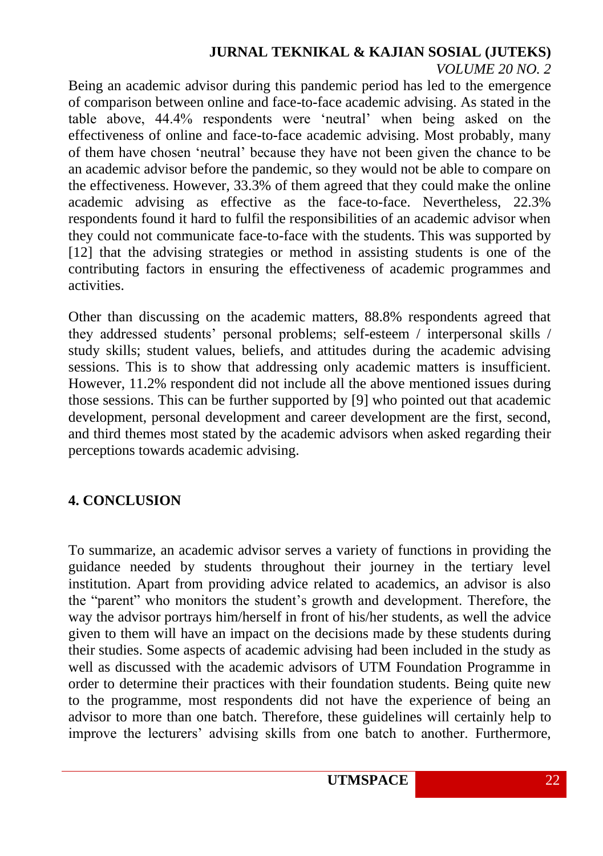Being an academic advisor during this pandemic period has led to the emergence of comparison between online and face-to-face academic advising. As stated in the table above, 44.4% respondents were 'neutral' when being asked on the effectiveness of online and face-to-face academic advising. Most probably, many of them have chosen 'neutral' because they have not been given the chance to be an academic advisor before the pandemic, so they would not be able to compare on the effectiveness. However, 33.3% of them agreed that they could make the online academic advising as effective as the face-to-face. Nevertheless, 22.3% respondents found it hard to fulfil the responsibilities of an academic advisor when they could not communicate face-to-face with the students. This was supported by [12] that the advising strategies or method in assisting students is one of the contributing factors in ensuring the effectiveness of academic programmes and activities.

Other than discussing on the academic matters, 88.8% respondents agreed that they addressed students' personal problems; self-esteem / interpersonal skills / study skills; student values, beliefs, and attitudes during the academic advising sessions. This is to show that addressing only academic matters is insufficient. However, 11.2% respondent did not include all the above mentioned issues during those sessions. This can be further supported by [9] who pointed out that academic development, personal development and career development are the first, second, and third themes most stated by the academic advisors when asked regarding their perceptions towards academic advising.

## **4. CONCLUSION**

To summarize, an academic advisor serves a variety of functions in providing the guidance needed by students throughout their journey in the tertiary level institution. Apart from providing advice related to academics, an advisor is also the "parent" who monitors the student's growth and development. Therefore, the way the advisor portrays him/herself in front of his/her students, as well the advice given to them will have an impact on the decisions made by these students during their studies. Some aspects of academic advising had been included in the study as well as discussed with the academic advisors of UTM Foundation Programme in order to determine their practices with their foundation students. Being quite new to the programme, most respondents did not have the experience of being an advisor to more than one batch. Therefore, these guidelines will certainly help to improve the lecturers' advising skills from one batch to another. Furthermore,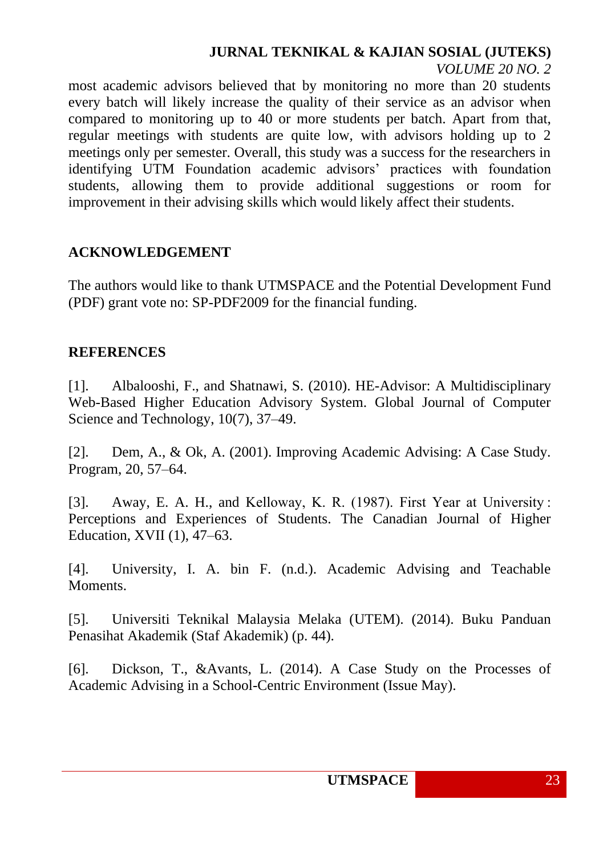# **JURNAL TEKNIKAL & KAJIAN SOSIAL (JUTEKS)**

*VOLUME 20 NO. 2*

most academic advisors believed that by monitoring no more than 20 students every batch will likely increase the quality of their service as an advisor when compared to monitoring up to 40 or more students per batch. Apart from that, regular meetings with students are quite low, with advisors holding up to 2 meetings only per semester. Overall, this study was a success for the researchers in identifying UTM Foundation academic advisors' practices with foundation students, allowing them to provide additional suggestions or room for improvement in their advising skills which would likely affect their students.

## **ACKNOWLEDGEMENT**

The authors would like to thank UTMSPACE and the Potential Development Fund (PDF) grant vote no: SP-PDF2009 for the financial funding.

## **REFERENCES**

[1]. Albalooshi, F., and Shatnawi, S. (2010). HE-Advisor: A Multidisciplinary Web-Based Higher Education Advisory System. Global Journal of Computer Science and Technology, 10(7), 37–49.

[2]. Dem, A., & Ok, A. (2001). Improving Academic Advising: A Case Study. Program, 20, 57–64.

[3]. Away, E. A. H., and Kelloway, K. R. (1987). First Year at University : Perceptions and Experiences of Students. The Canadian Journal of Higher Education, XVII (1), 47–63.

[4]. University, I. A. bin F. (n.d.). Academic Advising and Teachable Moments.

[5]. Universiti Teknikal Malaysia Melaka (UTEM). (2014). Buku Panduan Penasihat Akademik (Staf Akademik) (p. 44).

[6]. Dickson, T., &Avants, L. (2014). A Case Study on the Processes of Academic Advising in a School-Centric Environment (Issue May).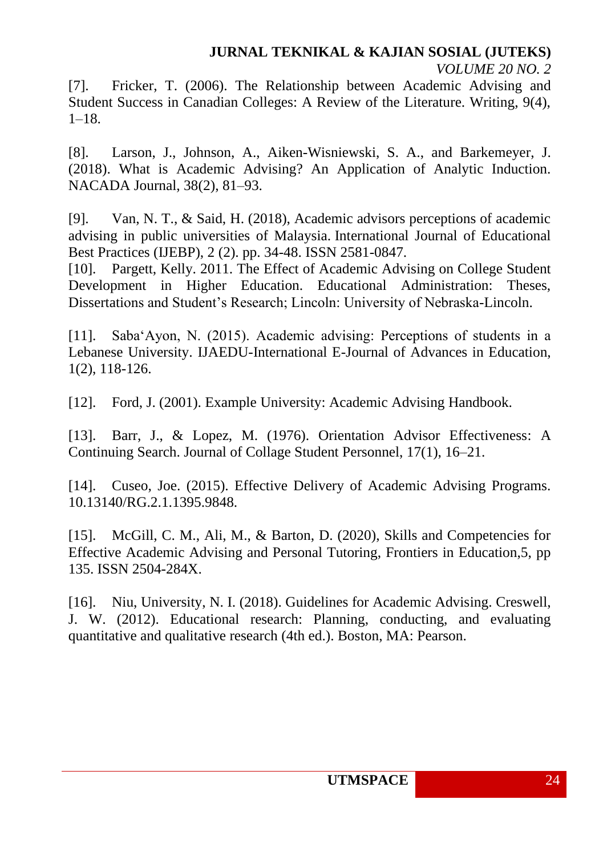[7]. Fricker, T. (2006). The Relationship between Academic Advising and Student Success in Canadian Colleges: A Review of the Literature. Writing, 9(4), 1–18.

[8]. Larson, J., Johnson, A., Aiken-Wisniewski, S. A., and Barkemeyer, J. (2018). What is Academic Advising? An Application of Analytic Induction. NACADA Journal, 38(2), 81–93.

[9]. Van, N. T., & Said, H. (2018), Academic advisors perceptions of academic advising in public universities of Malaysia. International Journal of Educational Best Practices (IJEBP), 2 (2). pp. 34-48. ISSN 2581-0847.

[10]. Pargett, Kelly. 2011. The Effect of Academic Advising on College Student Development in Higher Education. Educational Administration: Theses, Dissertations and Student's Research; Lincoln: University of Nebraska-Lincoln.

[11]. Saba'Ayon, N. (2015). Academic advising: Perceptions of students in a Lebanese University. IJAEDU-International E-Journal of Advances in Education, 1(2), 118-126.

[12]. Ford, J. (2001). Example University: Academic Advising Handbook.

[13]. Barr, J., & Lopez, M. (1976). Orientation Advisor Effectiveness: A Continuing Search. Journal of Collage Student Personnel, 17(1), 16–21.

[14]. Cuseo, Joe. (2015). Effective Delivery of Academic Advising Programs. 10.13140/RG.2.1.1395.9848.

[15]. McGill, C. M., Ali, M., & Barton, D. (2020), Skills and Competencies for Effective Academic Advising and Personal Tutoring, Frontiers in Education,5, pp 135. ISSN 2504-284X.

[16]. Niu, University, N. I. (2018). Guidelines for Academic Advising. Creswell, J. W. (2012). Educational research: Planning, conducting, and evaluating quantitative and qualitative research (4th ed.). Boston, MA: Pearson.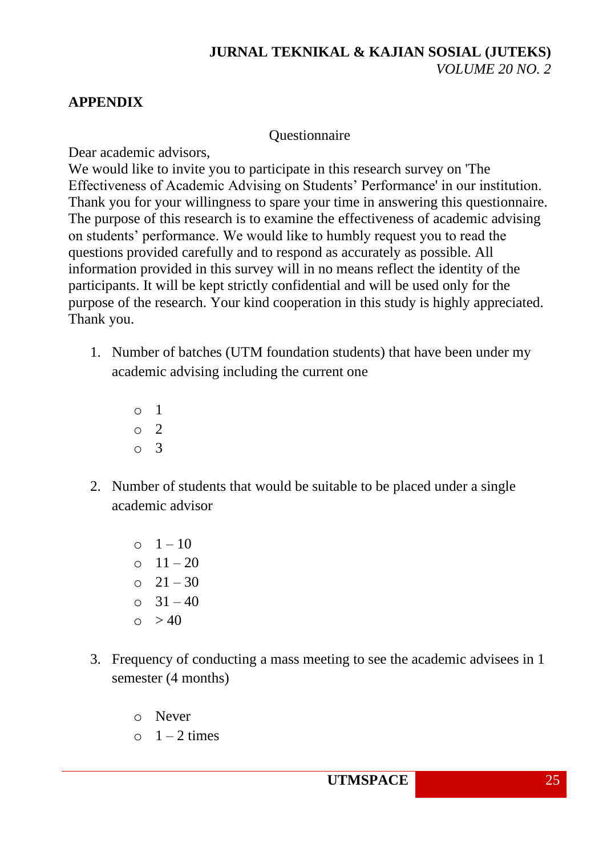## **APPENDIX**

### **Ouestionnaire**

Dear academic advisors,

We would like to invite you to participate in this research survey on 'The Effectiveness of Academic Advising on Students' Performance' in our institution. Thank you for your willingness to spare your time in answering this questionnaire. The purpose of this research is to examine the effectiveness of academic advising on students' performance. We would like to humbly request you to read the questions provided carefully and to respond as accurately as possible. All information provided in this survey will in no means reflect the identity of the participants. It will be kept strictly confidential and will be used only for the purpose of the research. Your kind cooperation in this study is highly appreciated. Thank you.

- 1. Number of batches (UTM foundation students) that have been under my academic advising including the current one
	- o 1 o 2 o 3
- 2. Number of students that would be suitable to be placed under a single academic advisor
	- $0 \t1 10$  $0 \quad 11 - 20$  $0 \quad 21 - 30$  $\Omega$  31 – 40  $\circ$  > 40
- 3. Frequency of conducting a mass meeting to see the academic advisees in 1 semester (4 months)
	- o Never
	- $\circ$  1 2 times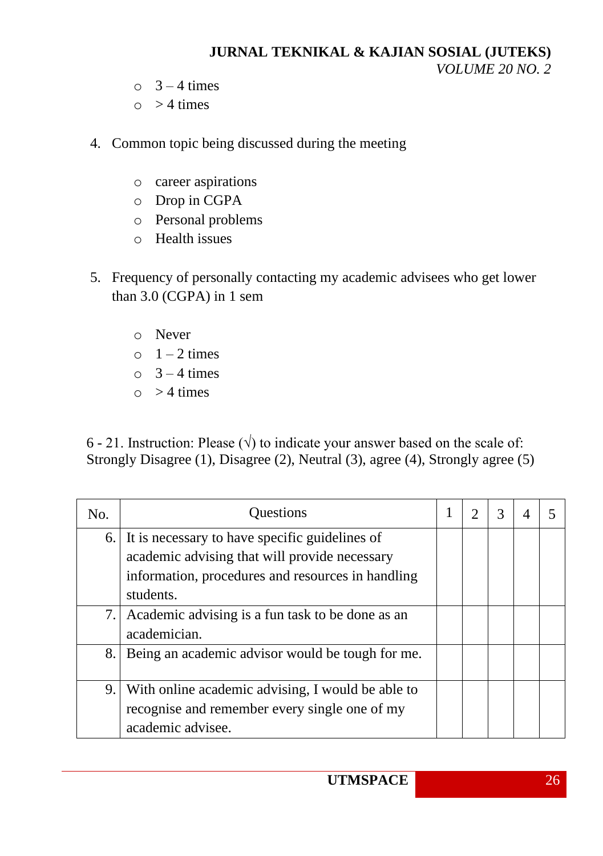- $\circ$  3 4 times
- $\circ$  > 4 times
- 4. Common topic being discussed during the meeting
	- o career aspirations
	- o Drop in CGPA
	- o Personal problems
	- o Health issues
- 5. Frequency of personally contacting my academic advisees who get lower than 3.0 (CGPA) in 1 sem
	- o Never
	- $\circ$  1 2 times
	- $\circ$  3 4 times
	- $\circ$  > 4 times

6 - 21. Instruction: Please ( $\sqrt{ }$ ) to indicate your answer based on the scale of: Strongly Disagree (1), Disagree (2), Neutral (3), agree (4), Strongly agree (5)

| No. | Questions                                                                                                                                                            |  | 3 |  |
|-----|----------------------------------------------------------------------------------------------------------------------------------------------------------------------|--|---|--|
|     | 6. It is necessary to have specific guidelines of<br>academic advising that will provide necessary<br>information, procedures and resources in handling<br>students. |  |   |  |
| 7.1 | Academic advising is a fun task to be done as an<br>academician.                                                                                                     |  |   |  |
| 8.  | Being an academic advisor would be tough for me.                                                                                                                     |  |   |  |
| 9.  | With online academic advising, I would be able to<br>recognise and remember every single one of my<br>academic advisee.                                              |  |   |  |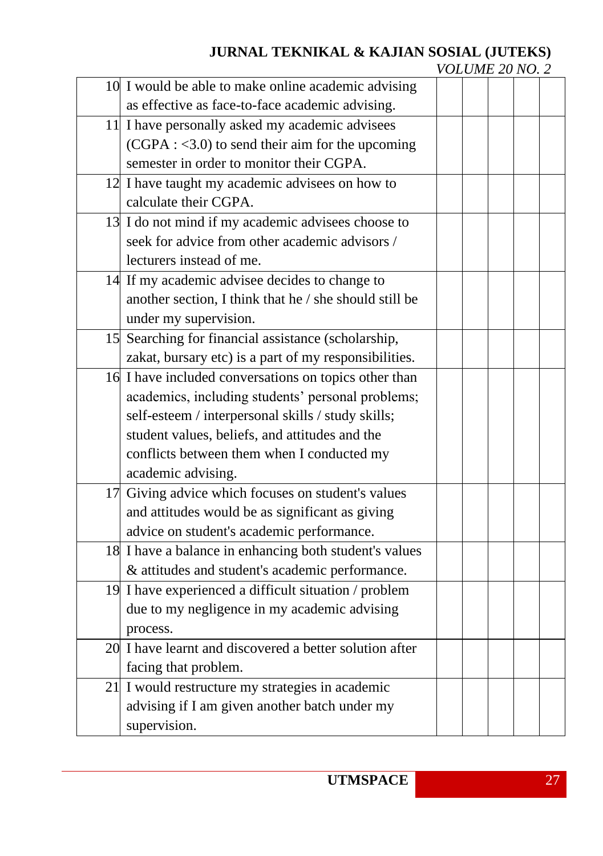# **JURNAL TEKNIKAL & KAJIAN SOSIAL (JUTEKS)**

| VOLUME 20 NO. 2 |  |
|-----------------|--|
|-----------------|--|

| 10 I would be able to make online academic advising     |  |  |  |
|---------------------------------------------------------|--|--|--|
| as effective as face-to-face academic advising.         |  |  |  |
| 11 I have personally asked my academic advisees         |  |  |  |
| $(CGPA: <3.0)$ to send their aim for the upcoming       |  |  |  |
| semester in order to monitor their CGPA.                |  |  |  |
| 12 I have taught my academic advisees on how to         |  |  |  |
| calculate their CGPA.                                   |  |  |  |
| 13 I do not mind if my academic advisees choose to      |  |  |  |
| seek for advice from other academic advisors /          |  |  |  |
| lecturers instead of me.                                |  |  |  |
| 14 If my academic advisee decides to change to          |  |  |  |
| another section, I think that he / she should still be  |  |  |  |
| under my supervision.                                   |  |  |  |
| 15 Searching for financial assistance (scholarship,     |  |  |  |
| zakat, bursary etc) is a part of my responsibilities.   |  |  |  |
| 16 I have included conversations on topics other than   |  |  |  |
| academics, including students' personal problems;       |  |  |  |
| self-esteem / interpersonal skills / study skills;      |  |  |  |
| student values, beliefs, and attitudes and the          |  |  |  |
| conflicts between them when I conducted my              |  |  |  |
| academic advising.                                      |  |  |  |
| 17 Giving advice which focuses on student's values      |  |  |  |
| and attitudes would be as significant as giving         |  |  |  |
| advice on student's academic performance.               |  |  |  |
| 18 I have a balance in enhancing both student's values  |  |  |  |
| & attitudes and student's academic performance.         |  |  |  |
| 19 I have experienced a difficult situation / problem   |  |  |  |
| due to my negligence in my academic advising            |  |  |  |
| process.                                                |  |  |  |
| 20 I have learnt and discovered a better solution after |  |  |  |
| facing that problem.                                    |  |  |  |
| 21 I would restructure my strategies in academic        |  |  |  |
| advising if I am given another batch under my           |  |  |  |
| supervision.                                            |  |  |  |